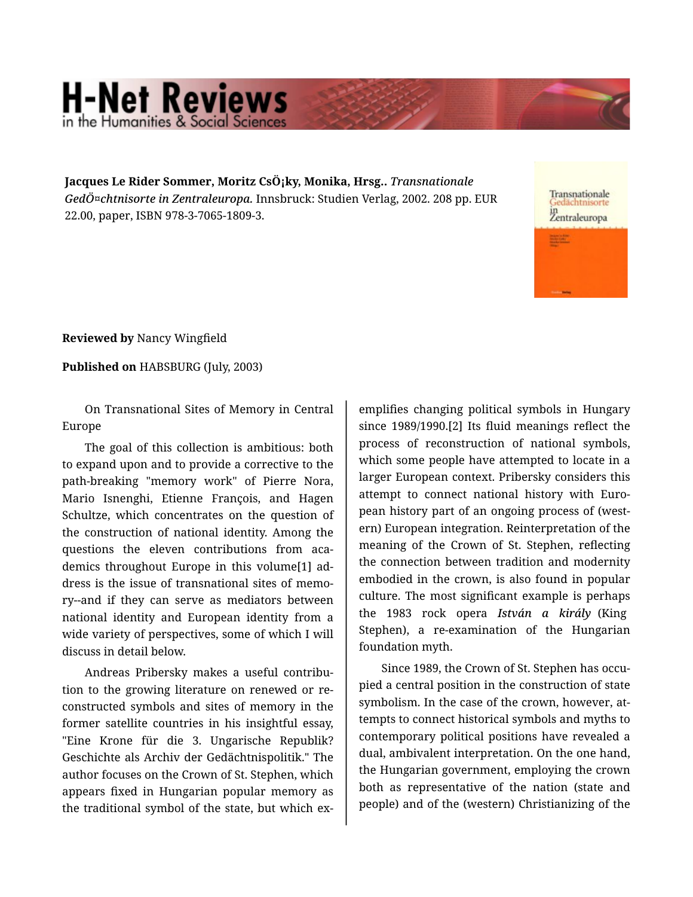## **H-Net Reviews** in the Humanities & Social S

**Jacques Le Rider Sommer, Moritz CsÖ¡ky, Monika, Hrsg..** *Transnationale GedÖ¤chtnisorte in Zentraleuropa.* Innsbruck: Studien Verlag, 2002. 208 pp. EUR 22.00, paper, ISBN 978-3-7065-1809-3.

Transnationale Zentraleuropa

**Reviewed by** Nancy Wingfield

**Published on** HABSBURG (July, 2003)

On Transnational Sites of Memory in Central Europe

The goal of this collection is ambitious: both to expand upon and to provide a corrective to the path-breaking "memory work" of Pierre Nora, Mario Isnenghi, Etienne François, and Hagen Schultze, which concentrates on the question of the construction of national identity. Among the questions the eleven contributions from academics throughout Europe in this volume[1] ad‐ dress is the issue of transnational sites of memo‐ ry--and if they can serve as mediators between national identity and European identity from a wide variety of perspectives, some of which I will discuss in detail below.

Andreas Pribersky makes a useful contribu‐ tion to the growing literature on renewed or re‐ constructed symbols and sites of memory in the former satellite countries in his insightful essay, "Eine Krone für die 3. Ungarische Republik? Geschichte als Archiv der Gedächtnispolitik." The author focuses on the Crown of St. Stephen, which appears fixed in Hungarian popular memory as the traditional symbol of the state, but which ex‐

emplifies changing political symbols in Hungary since 1989/1990.[2] Its fluid meanings reflect the process of reconstruction of national symbols, which some people have attempted to locate in a larger European context. Pribersky considers this attempt to connect national history with Euro‐ pean history part of an ongoing process of (west‐ ern) European integration. Reinterpretation of the meaning of the Crown of St. Stephen, reflecting the connection between tradition and modernity embodied in the crown, is also found in popular culture. The most significant example is perhaps the 1983 rock opera *István a király* (King Stephen), a re-examination of the Hungarian foundation myth.

Since 1989, the Crown of St. Stephen has occu‐ pied a central position in the construction of state symbolism. In the case of the crown, however, attempts to connect historical symbols and myths to contemporary political positions have revealed a dual, ambivalent interpretation. On the one hand, the Hungarian government, employing the crown both as representative of the nation (state and people) and of the (western) Christianizing of the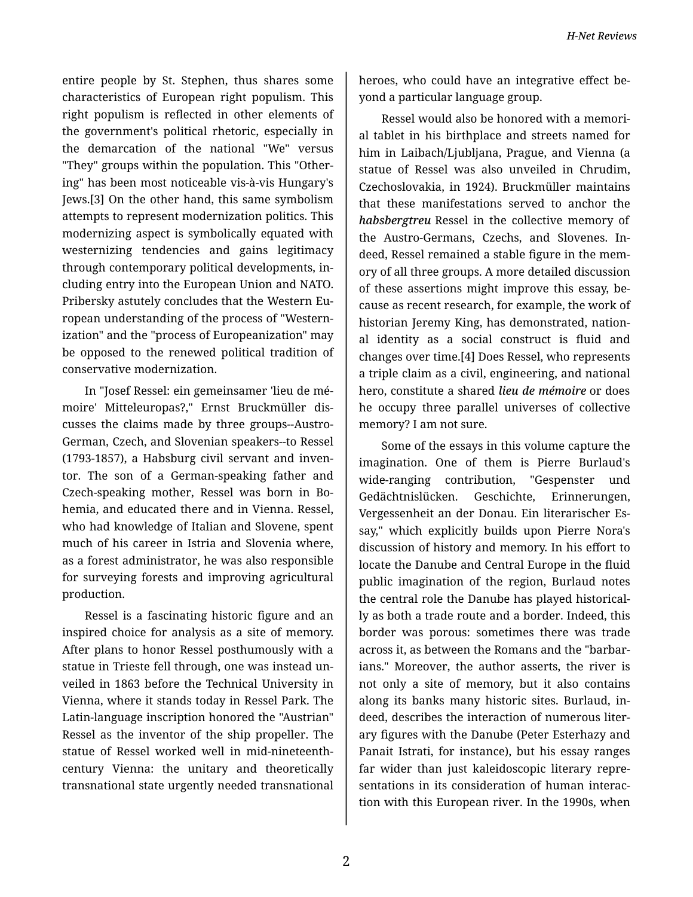entire people by St. Stephen, thus shares some characteristics of European right populism. This right populism is reflected in other elements of the government's political rhetoric, especially in the demarcation of the national "We" versus "They" groups within the population. This "Other‐ ing" has been most noticeable vis-à-vis Hungary's Jews.[3] On the other hand, this same symbolism attempts to represent modernization politics. This modernizing aspect is symbolically equated with westernizing tendencies and gains legitimacy through contemporary political developments, in‐ cluding entry into the European Union and NATO. Pribersky astutely concludes that the Western Eu‐ ropean understanding of the process of "Western‐ ization" and the "process of Europeanization" may be opposed to the renewed political tradition of conservative modernization.

In "Josef Ressel: ein gemeinsamer 'lieu de mé‐ moire' Mitteleuropas?," Ernst Bruckmüller dis‐ cusses the claims made by three groups--Austro-German, Czech, and Slovenian speakers--to Ressel (1793-1857), a Habsburg civil servant and inven‐ tor. The son of a German-speaking father and Czech-speaking mother, Ressel was born in Bo‐ hemia, and educated there and in Vienna. Ressel, who had knowledge of Italian and Slovene, spent much of his career in Istria and Slovenia where, as a forest administrator, he was also responsible for surveying forests and improving agricultural production.

Ressel is a fascinating historic figure and an inspired choice for analysis as a site of memory. After plans to honor Ressel posthumously with a statue in Trieste fell through, one was instead un‐ veiled in 1863 before the Technical University in Vienna, where it stands today in Ressel Park. The Latin-language inscription honored the "Austrian" Ressel as the inventor of the ship propeller. The statue of Ressel worked well in mid-nineteenthcentury Vienna: the unitary and theoretically transnational state urgently needed transnational

heroes, who could have an integrative effect be‐ yond a particular language group.

Ressel would also be honored with a memori‐ al tablet in his birthplace and streets named for him in Laibach/Ljubljana, Prague, and Vienna (a statue of Ressel was also unveiled in Chrudim, Czechoslovakia, in 1924). Bruckmüller maintains that these manifestations served to anchor the *habsbergtreu* Ressel in the collective memory of the Austro-Germans, Czechs, and Slovenes. In‐ deed, Ressel remained a stable figure in the mem‐ ory of all three groups. A more detailed discussion of these assertions might improve this essay, be‐ cause as recent research, for example, the work of historian Jeremy King, has demonstrated, nation‐ al identity as a social construct is fluid and changes over time.[4] Does Ressel, who represents a triple claim as a civil, engineering, and national hero, constitute a shared *lieu de mémoire* or does he occupy three parallel universes of collective memory? I am not sure.

Some of the essays in this volume capture the imagination. One of them is Pierre Burlaud's wide-ranging contribution, "Gespenster und Gedächtnislücken. Geschichte, Erinnerungen, Vergessenheit an der Donau. Ein literarischer Es‐ say," which explicitly builds upon Pierre Nora's discussion of history and memory. In his effort to locate the Danube and Central Europe in the fluid public imagination of the region, Burlaud notes the central role the Danube has played historical‐ ly as both a trade route and a border. Indeed, this border was porous: sometimes there was trade across it, as between the Romans and the "barbar‐ ians." Moreover, the author asserts, the river is not only a site of memory, but it also contains along its banks many historic sites. Burlaud, in‐ deed, describes the interaction of numerous liter‐ ary figures with the Danube (Peter Esterhazy and Panait Istrati, for instance), but his essay ranges far wider than just kaleidoscopic literary repre‐ sentations in its consideration of human interac‐ tion with this European river. In the 1990s, when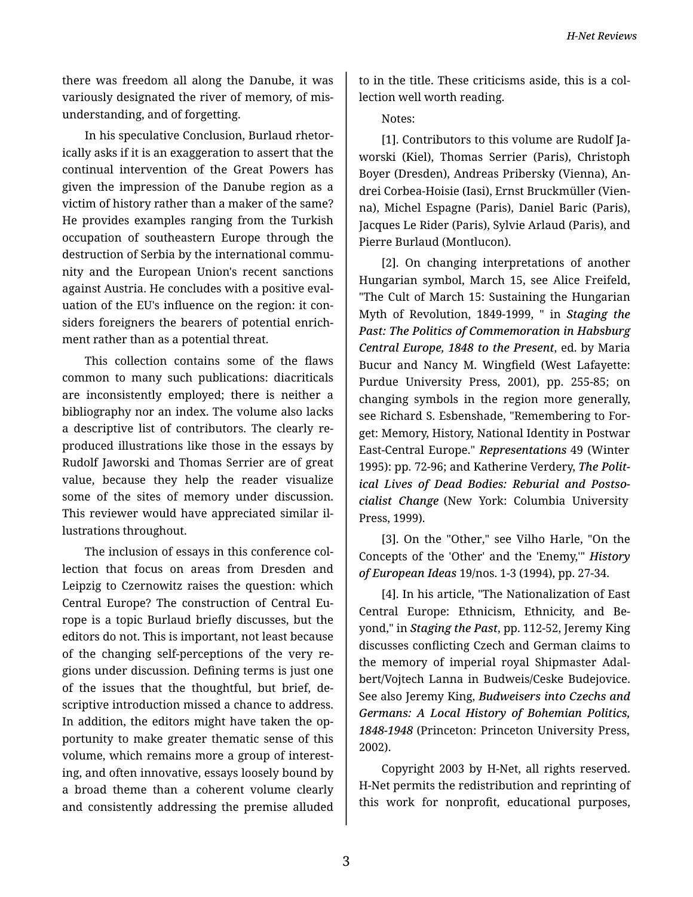there was freedom all along the Danube, it was variously designated the river of memory, of mis‐ understanding, and of forgetting.

In his speculative Conclusion, Burlaud rhetor‐ ically asks if it is an exaggeration to assert that the continual intervention of the Great Powers has given the impression of the Danube region as a victim of history rather than a maker of the same? He provides examples ranging from the Turkish occupation of southeastern Europe through the destruction of Serbia by the international commu‐ nity and the European Union's recent sanctions against Austria. He concludes with a positive eval‐ uation of the EU's influence on the region: it con‐ siders foreigners the bearers of potential enrich‐ ment rather than as a potential threat.

This collection contains some of the flaws common to many such publications: diacriticals are inconsistently employed; there is neither a bibliography nor an index. The volume also lacks a descriptive list of contributors. The clearly re‐ produced illustrations like those in the essays by Rudolf Jaworski and Thomas Serrier are of great value, because they help the reader visualize some of the sites of memory under discussion. This reviewer would have appreciated similar il‐ lustrations throughout.

The inclusion of essays in this conference col‐ lection that focus on areas from Dresden and Leipzig to Czernowitz raises the question: which Central Europe? The construction of Central Eu‐ rope is a topic Burlaud briefly discusses, but the editors do not. This is important, not least because of the changing self-perceptions of the very re‐ gions under discussion. Defining terms is just one of the issues that the thoughtful, but brief, de‐ scriptive introduction missed a chance to address. In addition, the editors might have taken the op‐ portunity to make greater thematic sense of this volume, which remains more a group of interest‐ ing, and often innovative, essays loosely bound by a broad theme than a coherent volume clearly and consistently addressing the premise alluded

to in the title. These criticisms aside, this is a col‐ lection well worth reading.

Notes:

[1]. Contributors to this volume are Rudolf Ja‐ worski (Kiel), Thomas Serrier (Paris), Christoph Boyer (Dresden), Andreas Pribersky (Vienna), An‐ drei Corbea-Hoisie (Iasi), Ernst Bruckmüller (Vien‐ na), Michel Espagne (Paris), Daniel Baric (Paris), Jacques Le Rider (Paris), Sylvie Arlaud (Paris), and Pierre Burlaud (Montlucon).

[2]. On changing interpretations of another Hungarian symbol, March 15, see Alice Freifeld, "The Cult of March 15: Sustaining the Hungarian Myth of Revolution, 1849-1999, " in *Staging the Past: The Politics of Commemoration in Habsburg Central Europe, 1848 to the Present*, ed. by Maria Bucur and Nancy M. Wingfield (West Lafayette: Purdue University Press, 2001), pp. 255-85; on changing symbols in the region more generally, see Richard S. Esbenshade, "Remembering to For‐ get: Memory, History, National Identity in Postwar East-Central Europe." *Representations* 49 (Winter 1995): pp. 72-96; and Katherine Verdery, *The Polit‐ ical Lives of Dead Bodies: Reburial and Postso‐ cialist Change* (New York: Columbia University Press, 1999).

[3]. On the "Other," see Vilho Harle, "On the Concepts of the 'Other' and the 'Enemy,'" *History of European Ideas* 19/nos. 1-3 (1994), pp. 27-34.

[4]. In his article, "The Nationalization of East Central Europe: Ethnicism, Ethnicity, and Be‐ yond," in *Staging the Past*, pp. 112-52, Jeremy King discusses conflicting Czech and German claims to the memory of imperial royal Shipmaster Adal‐ bert/Vojtech Lanna in Budweis/Ceske Budejovice. See also Jeremy King, *Budweisers into Czechs and Germans: A Local History of Bohemian Politics, 1848-1948* (Princeton: Princeton University Press, 2002).

Copyright 2003 by H-Net, all rights reserved. H-Net permits the redistribution and reprinting of this work for nonprofit, educational purposes,